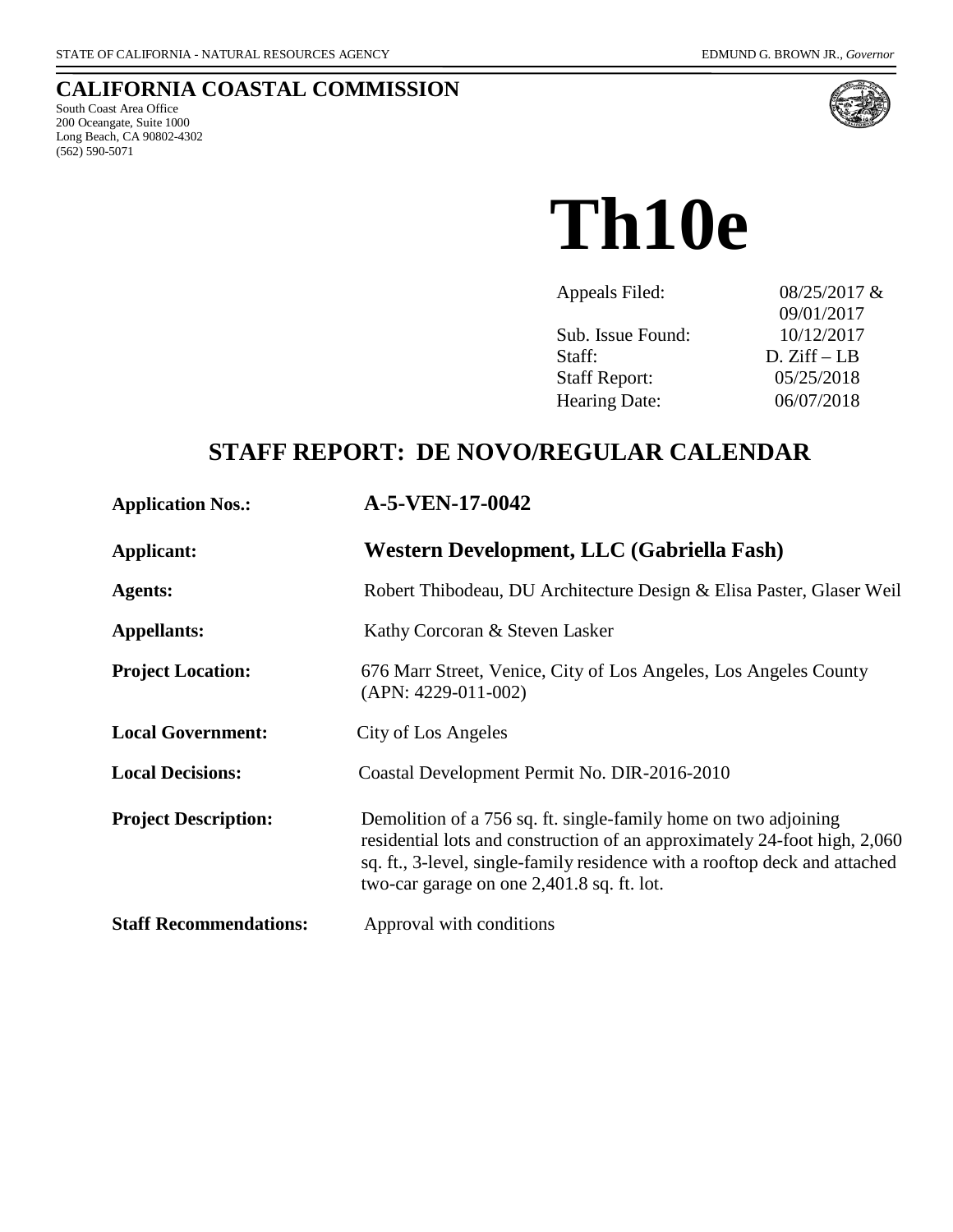### **CALIFORNIA COASTAL COMMISSION**

South Coast Area Office 200 Oceangate, Suite 1000 Long Beach, CA 90802-4302 (562) 590-5071



**Th10e**

| Appeals Filed:       | 08/25/2017 & |
|----------------------|--------------|
|                      | 09/01/2017   |
| Sub. Issue Found:    | 10/12/2017   |
| Staff:               | $D. Ziff-LB$ |
| <b>Staff Report:</b> | 05/25/2018   |
| Hearing Date:        | 06/07/2018   |

## **STAFF REPORT: DE NOVO/REGULAR CALENDAR**

| <b>Application Nos.:</b>      | A-5-VEN-17-0042                                                                                                                                                                                                                                                          |
|-------------------------------|--------------------------------------------------------------------------------------------------------------------------------------------------------------------------------------------------------------------------------------------------------------------------|
| Applicant:                    | Western Development, LLC (Gabriella Fash)                                                                                                                                                                                                                                |
| <b>Agents:</b>                | Robert Thibodeau, DU Architecture Design & Elisa Paster, Glaser Weil                                                                                                                                                                                                     |
| <b>Appellants:</b>            | Kathy Corcoran & Steven Lasker                                                                                                                                                                                                                                           |
| <b>Project Location:</b>      | 676 Marr Street, Venice, City of Los Angeles, Los Angeles County<br>$(APN: 4229-011-002)$                                                                                                                                                                                |
| <b>Local Government:</b>      | City of Los Angeles                                                                                                                                                                                                                                                      |
| <b>Local Decisions:</b>       | Coastal Development Permit No. DIR-2016-2010                                                                                                                                                                                                                             |
| <b>Project Description:</b>   | Demolition of a 756 sq. ft. single-family home on two adjoining<br>residential lots and construction of an approximately 24-foot high, 2,060<br>sq. ft., 3-level, single-family residence with a rooftop deck and attached<br>two-car garage on one 2,401.8 sq. ft. lot. |
| <b>Staff Recommendations:</b> | Approval with conditions                                                                                                                                                                                                                                                 |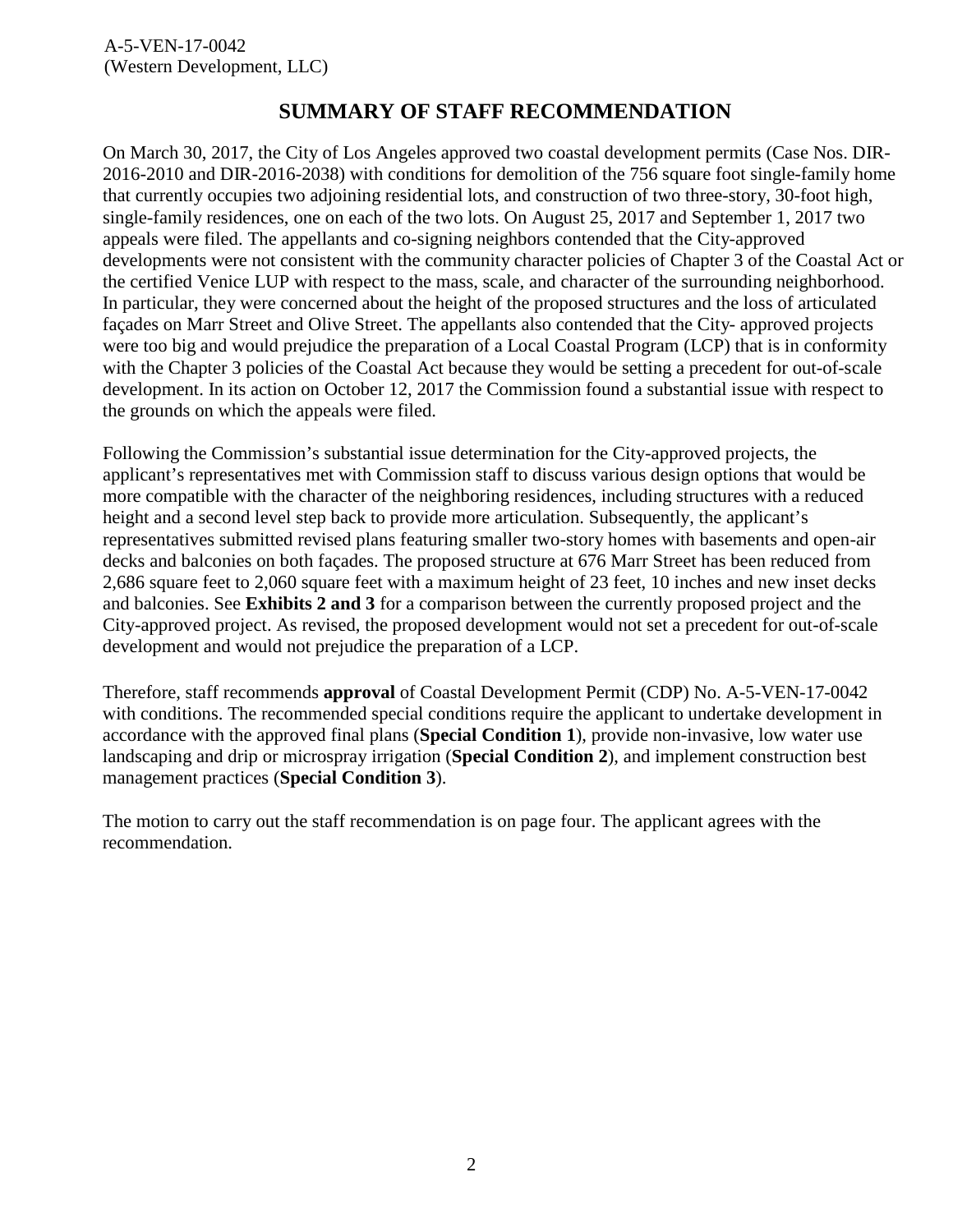### **SUMMARY OF STAFF RECOMMENDATION**

On March 30, 2017, the City of Los Angeles approved two coastal development permits (Case Nos. DIR-2016-2010 and DIR-2016-2038) with conditions for demolition of the 756 square foot single-family home that currently occupies two adjoining residential lots, and construction of two three-story, 30-foot high, single-family residences, one on each of the two lots. On August 25, 2017 and September 1, 2017 two appeals were filed. The appellants and co-signing neighbors contended that the City-approved developments were not consistent with the community character policies of Chapter 3 of the Coastal Act or the certified Venice LUP with respect to the mass, scale, and character of the surrounding neighborhood. In particular, they were concerned about the height of the proposed structures and the loss of articulated façades on Marr Street and Olive Street. The appellants also contended that the City- approved projects were too big and would prejudice the preparation of a Local Coastal Program (LCP) that is in conformity with the Chapter 3 policies of the Coastal Act because they would be setting a precedent for out-of-scale development. In its action on October 12, 2017 the Commission found a substantial issue with respect to the grounds on which the appeals were filed.

Following the Commission's substantial issue determination for the City-approved projects, the applicant's representatives met with Commission staff to discuss various design options that would be more compatible with the character of the neighboring residences, including structures with a reduced height and a second level step back to provide more articulation. Subsequently, the applicant's representatives submitted revised plans featuring smaller two-story homes with basements and open-air decks and balconies on both façades. The proposed structure at 676 Marr Street has been reduced from 2,686 square feet to 2,060 square feet with a maximum height of 23 feet, 10 inches and new inset decks and balconies. See **[Exhibits 2 and 3](https://documents.coastal.ca.gov/reports/2018/6/th10e/th10e-6-2018-exhibits.pdf)** for a comparison between the currently proposed project and the City-approved project. As revised, the proposed development would not set a precedent for out-of-scale development and would not prejudice the preparation of a LCP.

Therefore, staff recommends **approval** of Coastal Development Permit (CDP) No. A-5-VEN-17-0042 with conditions. The recommended special conditions require the applicant to undertake development in accordance with the approved final plans (**Special Condition 1**), provide non-invasive, low water use landscaping and drip or microspray irrigation (**Special Condition 2**), and implement construction best management practices (**Special Condition 3**).

The motion to carry out the staff recommendation is on page four. The applicant agrees with the recommendation.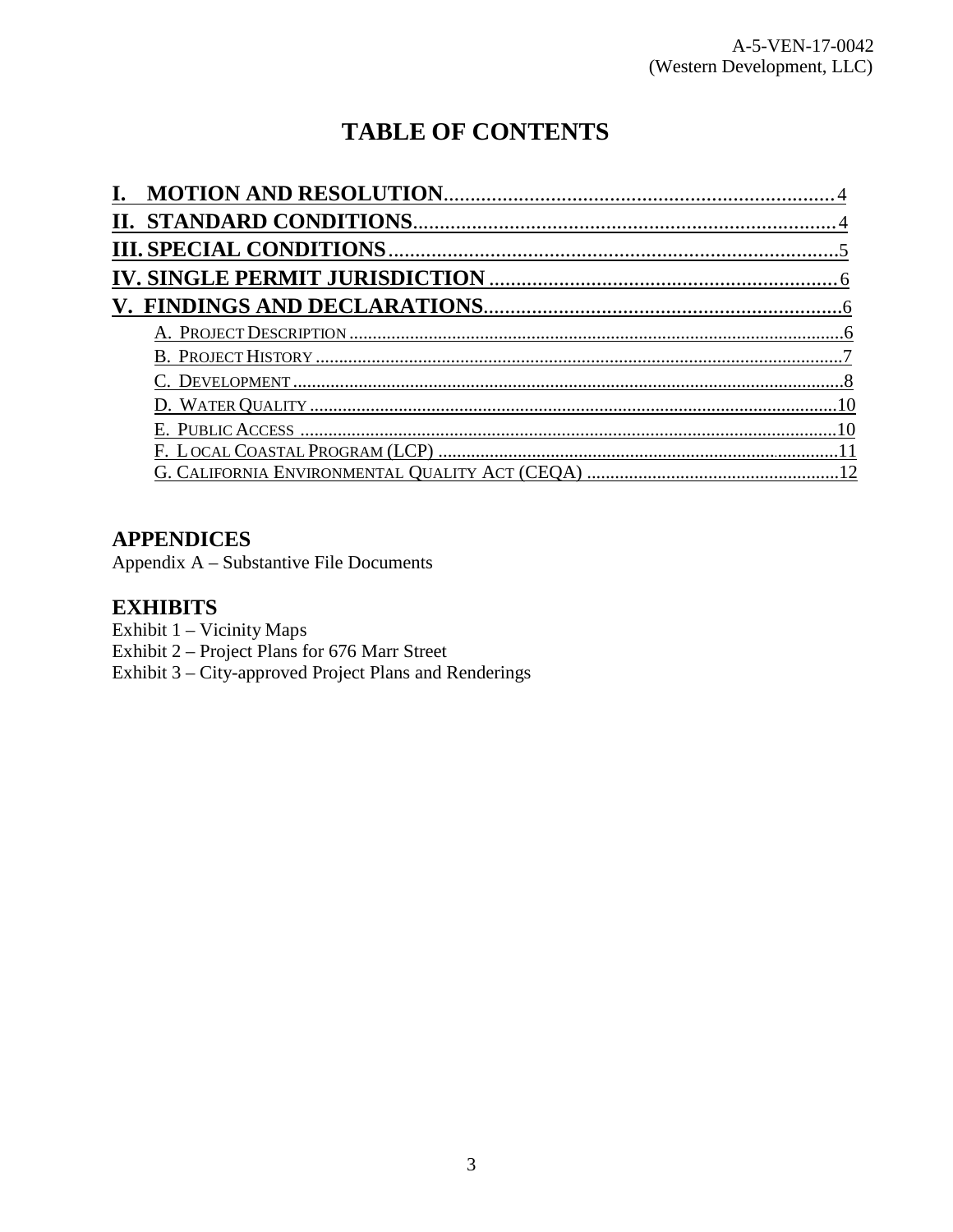# **TABLE OF CONTENTS**

### **APPENDICES**

Appendix A - Substantive File Documents

#### **EXHIBITS**

Exhibit 1 - Vicinity Maps

Exhibit 2 - Project Plans for 676 Marr Street

Exhibit 3 – City-approved Project Plans and Renderings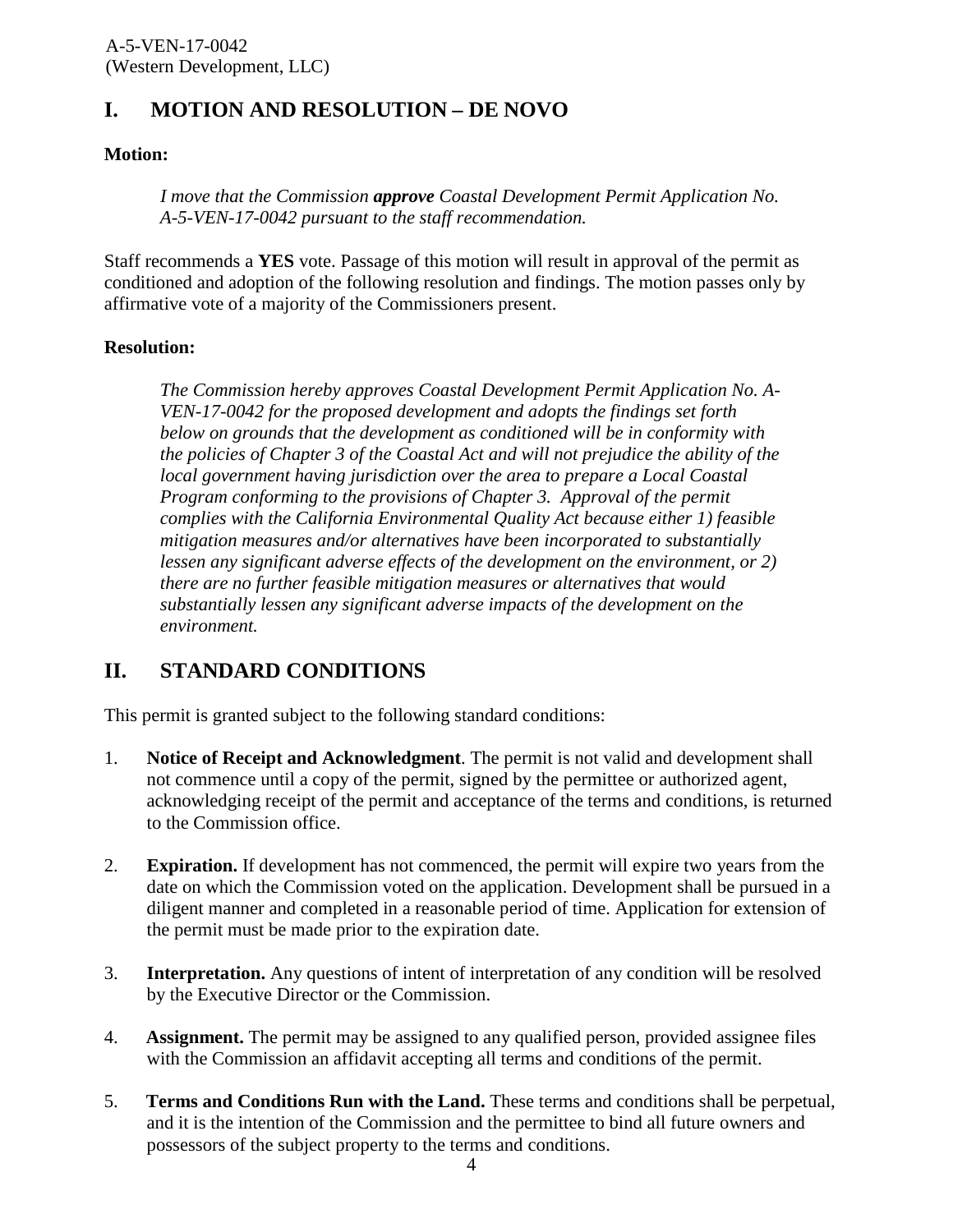## **I. MOTION AND RESOLUTION – DE NOVO**

#### **Motion:**

*I move that the Commission approve Coastal Development Permit Application No. A-5-VEN-17-0042 pursuant to the staff recommendation.* 

Staff recommends a **YES** vote. Passage of this motion will result in approval of the permit as conditioned and adoption of the following resolution and findings. The motion passes only by affirmative vote of a majority of the Commissioners present.

#### **Resolution:**

*The Commission hereby approves Coastal Development Permit Application No. A-VEN-17-0042 for the proposed development and adopts the findings set forth below on grounds that the development as conditioned will be in conformity with the policies of Chapter 3 of the Coastal Act and will not prejudice the ability of the local government having jurisdiction over the area to prepare a Local Coastal Program conforming to the provisions of Chapter 3. Approval of the permit complies with the California Environmental Quality Act because either 1) feasible mitigation measures and/or alternatives have been incorporated to substantially lessen any significant adverse effects of the development on the environment, or 2) there are no further feasible mitigation measures or alternatives that would substantially lessen any significant adverse impacts of the development on the environment.* 

## <span id="page-3-0"></span>**II. STANDARD CONDITIONS**

This permit is granted subject to the following standard conditions:

- 1. **Notice of Receipt and Acknowledgment**. The permit is not valid and development shall not commence until a copy of the permit, signed by the permittee or authorized agent, acknowledging receipt of the permit and acceptance of the terms and conditions, is returned to the Commission office.
- 2. **Expiration.** If development has not commenced, the permit will expire two years from the date on which the Commission voted on the application. Development shall be pursued in a diligent manner and completed in a reasonable period of time. Application for extension of the permit must be made prior to the expiration date.
- 3. **Interpretation.** Any questions of intent of interpretation of any condition will be resolved by the Executive Director or the Commission.
- 4. **Assignment.** The permit may be assigned to any qualified person, provided assignee files with the Commission an affidavit accepting all terms and conditions of the permit.
- 5. **Terms and Conditions Run with the Land.** These terms and conditions shall be perpetual, and it is the intention of the Commission and the permittee to bind all future owners and possessors of the subject property to the terms and conditions.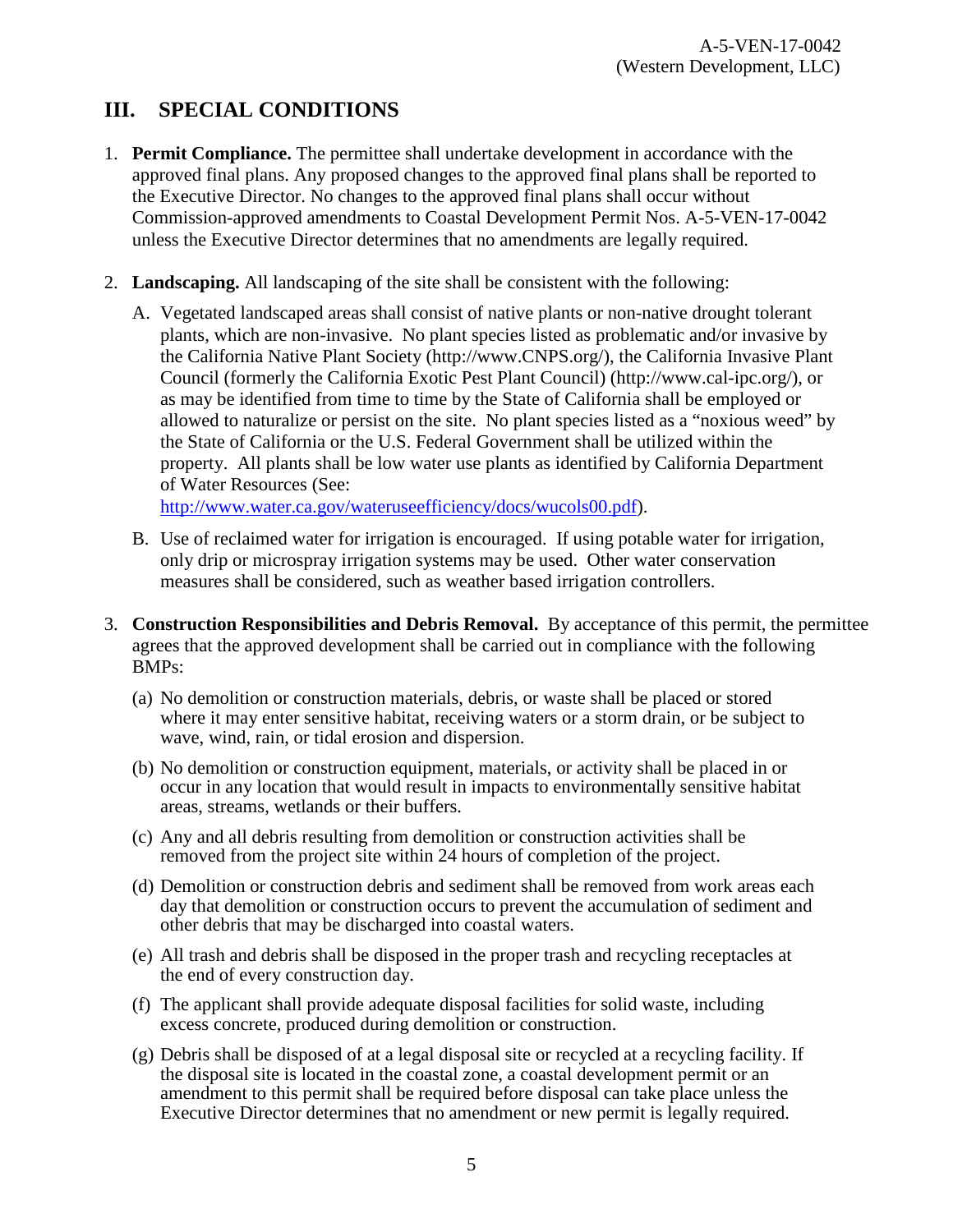## <span id="page-4-0"></span>**III. SPECIAL CONDITIONS**

- 1. **Permit Compliance.** The permittee shall undertake development in accordance with the approved final plans. Any proposed changes to the approved final plans shall be reported to the Executive Director. No changes to the approved final plans shall occur without Commission-approved amendments to Coastal Development Permit Nos. A-5-VEN-17-0042 unless the Executive Director determines that no amendments are legally required.
- 2. **Landscaping.** All landscaping of the site shall be consistent with the following:
	- A. Vegetated landscaped areas shall consist of native plants or non-native drought tolerant plants, which are non-invasive. No plant species listed as problematic and/or invasive by the California Native Plant Society (http://www.CNPS.org/), the California Invasive Plant Council (formerly the California Exotic Pest Plant Council) (http://www.cal-ipc.org/), or as may be identified from time to time by the State of California shall be employed or allowed to naturalize or persist on the site. No plant species listed as a "noxious weed" by the State of California or the U.S. Federal Government shall be utilized within the property. All plants shall be low water use plants as identified by California Department of Water Resources (See:

[http://www.water.ca.gov/wateruseefficiency/docs/wucols00.pdf\)](http://www.water.ca.gov/wateruseefficiency/docs/wucols00.pdf).

- B. Use of reclaimed water for irrigation is encouraged. If using potable water for irrigation, only drip or microspray irrigation systems may be used. Other water conservation measures shall be considered, such as weather based irrigation controllers.
- 3. **Construction Responsibilities and Debris Removal.** By acceptance of this permit, the permittee agrees that the approved development shall be carried out in compliance with the following BMPs:
	- (a) No demolition or construction materials, debris, or waste shall be placed or stored where it may enter sensitive habitat, receiving waters or a storm drain, or be subject to wave, wind, rain, or tidal erosion and dispersion.
	- (b) No demolition or construction equipment, materials, or activity shall be placed in or occur in any location that would result in impacts to environmentally sensitive habitat areas, streams, wetlands or their buffers.
	- (c) Any and all debris resulting from demolition or construction activities shall be removed from the project site within 24 hours of completion of the project.
	- (d) Demolition or construction debris and sediment shall be removed from work areas each day that demolition or construction occurs to prevent the accumulation of sediment and other debris that may be discharged into coastal waters.
	- (e) All trash and debris shall be disposed in the proper trash and recycling receptacles at the end of every construction day.
	- (f) The applicant shall provide adequate disposal facilities for solid waste, including excess concrete, produced during demolition or construction.
	- (g) Debris shall be disposed of at a legal disposal site or recycled at a recycling facility. If the disposal site is located in the coastal zone, a coastal development permit or an amendment to this permit shall be required before disposal can take place unless the Executive Director determines that no amendment or new permit is legally required.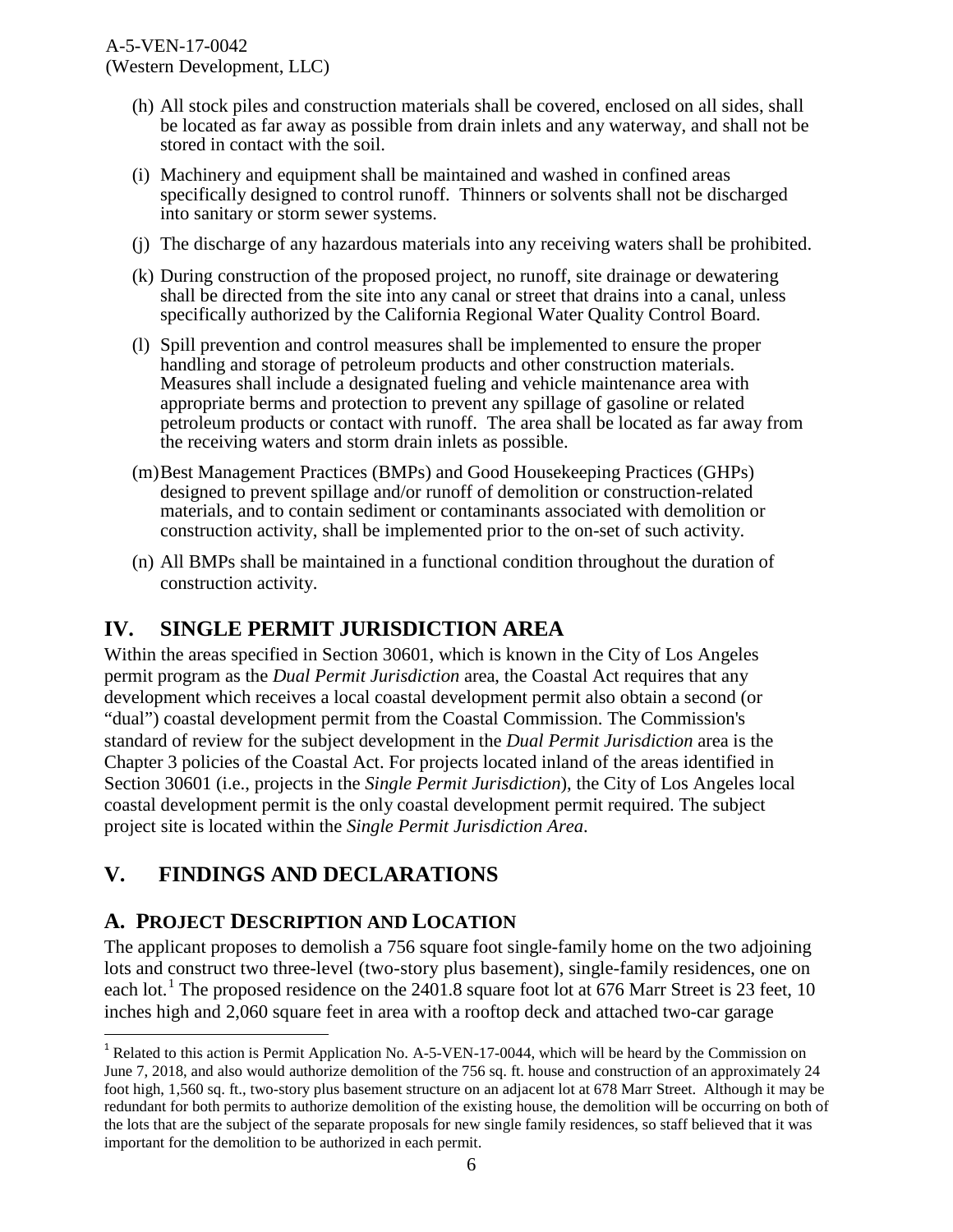- (h) All stock piles and construction materials shall be covered, enclosed on all sides, shall be located as far away as possible from drain inlets and any waterway, and shall not be stored in contact with the soil.
- (i) Machinery and equipment shall be maintained and washed in confined areas specifically designed to control runoff. Thinners or solvents shall not be discharged into sanitary or storm sewer systems.
- (j) The discharge of any hazardous materials into any receiving waters shall be prohibited.
- (k) During construction of the proposed project, no runoff, site drainage or dewatering shall be directed from the site into any canal or street that drains into a canal, unless specifically authorized by the California Regional Water Quality Control Board.
- (l) Spill prevention and control measures shall be implemented to ensure the proper handling and storage of petroleum products and other construction materials. Measures shall include a designated fueling and vehicle maintenance area with appropriate berms and protection to prevent any spillage of gasoline or related petroleum products or contact with runoff. The area shall be located as far away from the receiving waters and storm drain inlets as possible.
- (m)Best Management Practices (BMPs) and Good Housekeeping Practices (GHPs) designed to prevent spillage and/or runoff of demolition or construction-related materials, and to contain sediment or contaminants associated with demolition or construction activity, shall be implemented prior to the on-set of such activity.
- (n) All BMPs shall be maintained in a functional condition throughout the duration of construction activity.

### <span id="page-5-0"></span>**IV. SINGLE PERMIT JURISDICTION AREA**

Within the areas specified in Section 30601, which is known in the City of Los Angeles permit program as the *Dual Permit Jurisdiction* area, the Coastal Act requires that any development which receives a local coastal development permit also obtain a second (or "dual") coastal development permit from the Coastal Commission. The Commission's standard of review for the subject development in the *Dual Permit Jurisdiction* area is the Chapter 3 policies of the Coastal Act. For projects located inland of the areas identified in Section 30601 (i.e., projects in the *Single Permit Jurisdiction*), the City of Los Angeles local coastal development permit is the only coastal development permit required. The subject project site is located within the *Single Permit Jurisdiction Area*.

### <span id="page-5-1"></span>**V. FINDINGS AND DECLARATIONS**

#### <span id="page-5-2"></span>**A. PROJECT DESCRIPTION AND LOCATION**

 $\overline{a}$ 

The applicant proposes to demolish a 756 square foot single-family home on the two adjoining lots and construct two three-level (two-story plus basement), single-family residences, one on each lot.<sup>[1](#page-5-3)</sup> The proposed residence on the 2401.8 square foot lot at 676 Marr Street is 23 feet, 10 inches high and 2,060 square feet in area with a rooftop deck and attached two-car garage

<span id="page-5-3"></span><sup>&</sup>lt;sup>1</sup> Related to this action is Permit Application No. A-5-VEN-17-0044, which will be heard by the Commission on June 7, 2018, and also would authorize demolition of the 756 sq. ft. house and construction of an approximately 24 foot high, 1,560 sq. ft., two-story plus basement structure on an adjacent lot at 678 Marr Street. Although it may be redundant for both permits to authorize demolition of the existing house, the demolition will be occurring on both of the lots that are the subject of the separate proposals for new single family residences, so staff believed that it was important for the demolition to be authorized in each permit.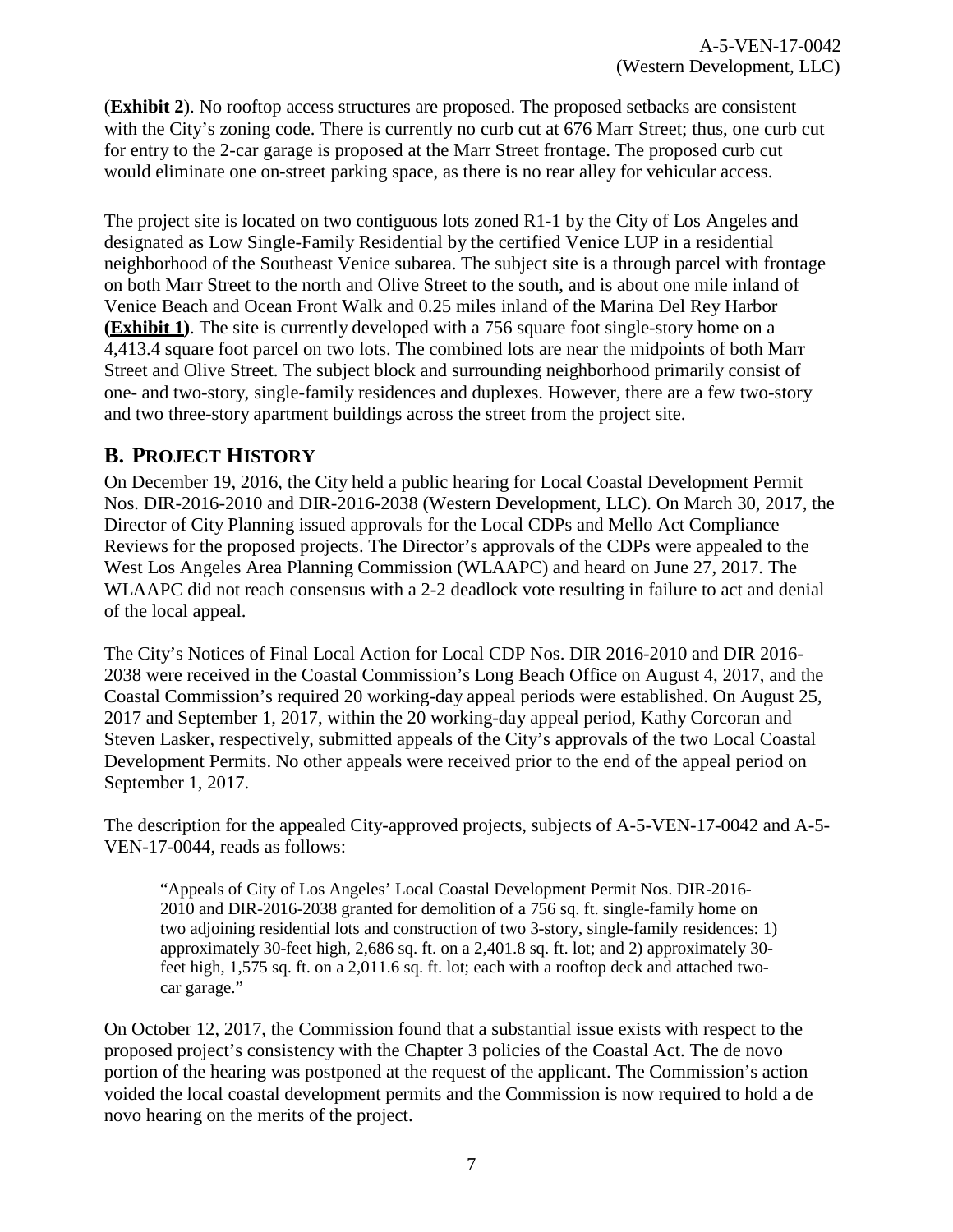(**[Exhibit 2](https://documents.coastal.ca.gov/reports/2018/6/th10e/th10e-6-2018-exhibits.pdf)**). No rooftop access structures are proposed. The proposed setbacks are consistent with the City's zoning code. There is currently no curb cut at 676 Marr Street; thus, one curb cut for entry to the 2-car garage is proposed at the Marr Street frontage. The proposed curb cut would eliminate one on-street parking space, as there is no rear alley for vehicular access.

The project site is located on two contiguous lots zoned R1-1 by the City of Los Angeles and designated as Low Single-Family Residential by the certified Venice LUP in a residential neighborhood of the Southeast Venice subarea. The subject site is a through parcel with frontage on both Marr Street to the north and Olive Street to the south, and is about one mile inland of Venice Beach and Ocean Front Walk and 0.25 miles inland of the Marina Del Rey Harbor **[\(Exhibit 1\)](https://documents.coastal.ca.gov/reports/2017/10/Th8b%26c/Th8b%26c-10-2017-exhibits.pdf)**. The site is currently developed with a 756 square foot single-story home on a 4,413.4 square foot parcel on two lots. The combined lots are near the midpoints of both Marr Street and Olive Street. The subject block and surrounding neighborhood primarily consist of one- and two-story, single-family residences and duplexes. However, there are a few two-story and two three-story apartment buildings across the street from the project site.

### <span id="page-6-0"></span>**B. PROJECT HISTORY**

On December 19, 2016, the City held a public hearing for Local Coastal Development Permit Nos. DIR-2016-2010 and DIR-2016-2038 (Western Development, LLC). On March 30, 2017, the Director of City Planning issued approvals for the Local CDPs and Mello Act Compliance Reviews for the proposed projects. The Director's approvals of the CDPs were appealed to the West Los Angeles Area Planning Commission (WLAAPC) and heard on June 27, 2017. The WLAAPC did not reach consensus with a 2-2 deadlock vote resulting in failure to act and denial of the local appeal.

The City's Notices of Final Local Action for Local CDP Nos. DIR 2016-2010 and DIR 2016- 2038 were received in the Coastal Commission's Long Beach Office on August 4, 2017, and the Coastal Commission's required 20 working-day appeal periods were established. On August 25, 2017 and September 1, 2017, within the 20 working-day appeal period, Kathy Corcoran and Steven Lasker, respectively, submitted appeals of the City's approvals of the two Local Coastal Development Permits. No other appeals were received prior to the end of the appeal period on September 1, 2017.

The description for the appealed City-approved projects, subjects of A-5-VEN-17-0042 and A-5- VEN-17-0044, reads as follows:

"Appeals of City of Los Angeles' Local Coastal Development Permit Nos. DIR-2016- 2010 and DIR-2016-2038 granted for demolition of a 756 sq. ft. single-family home on two adjoining residential lots and construction of two 3-story, single-family residences: 1) approximately 30-feet high,  $2,686$  sq. ft. on a  $2,401.8$  sq. ft. lot; and 2) approximately 30feet high, 1,575 sq. ft. on a 2,011.6 sq. ft. lot; each with a rooftop deck and attached twocar garage."

On October 12, 2017, the Commission found that a substantial issue exists with respect to the proposed project's consistency with the Chapter 3 policies of the Coastal Act. The de novo portion of the hearing was postponed at the request of the applicant. The Commission's action voided the local coastal development permits and the Commission is now required to hold a de novo hearing on the merits of the project.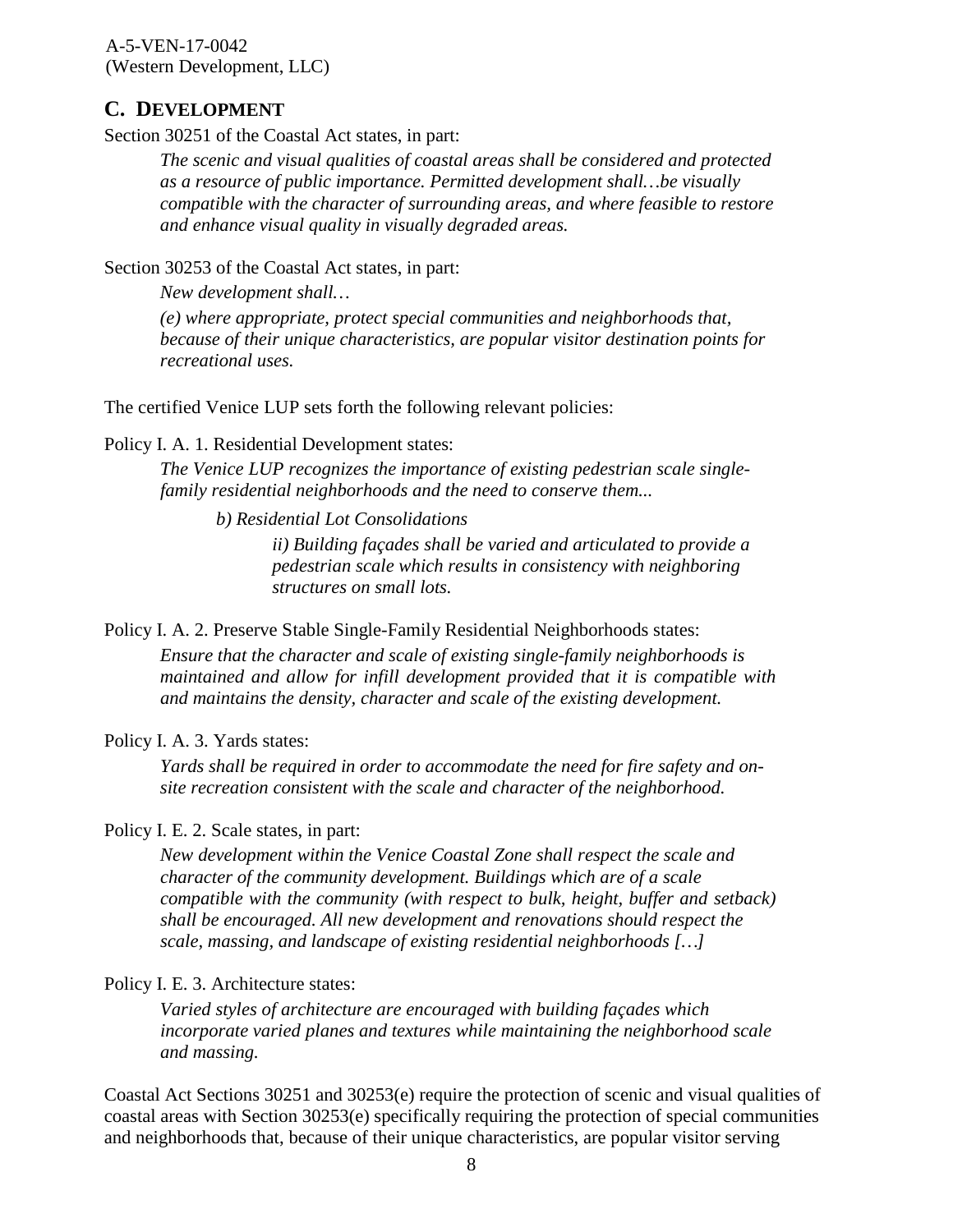#### <span id="page-7-0"></span>**C. DEVELOPMENT**

Section 30251 of the Coastal Act states, in part:

*The scenic and visual qualities of coastal areas shall be considered and protected as a resource of public importance. Permitted development shall…be visually compatible with the character of surrounding areas, and where feasible to restore and enhance visual quality in visually degraded areas.*

Section 30253 of the Coastal Act states, in part:

*New development shall…*

*(e) where appropriate, protect special communities and neighborhoods that, because of their unique characteristics, are popular visitor destination points for recreational uses.*

The certified Venice LUP sets forth the following relevant policies:

#### Policy I. A. 1. Residential Development states:

*The Venice LUP recognizes the importance of existing pedestrian scale singlefamily residential neighborhoods and the need to conserve them...*

*b) Residential Lot Consolidations* 

*ii) Building façades shall be varied and articulated to provide a pedestrian scale which results in consistency with neighboring structures on small lots.*

Policy I. A. 2. Preserve Stable Single-Family Residential Neighborhoods states:

*Ensure that the character and scale of existing single-family neighborhoods is maintained and allow for infill development provided that it is compatible with and maintains the density, character and scale of the existing development.*

#### Policy I. A. 3. Yards states:

*Yards shall be required in order to accommodate the need for fire safety and onsite recreation consistent with the scale and character of the neighborhood.*

#### Policy I. E. 2. Scale states, in part:

*New development within the Venice Coastal Zone shall respect the scale and character of the community development. Buildings which are of a scale compatible with the community (with respect to bulk, height, buffer and setback) shall be encouraged. All new development and renovations should respect the scale, massing, and landscape of existing residential neighborhoods […]*

#### Policy I. E. 3. Architecture states:

*Varied styles of architecture are encouraged with building façades which incorporate varied planes and textures while maintaining the neighborhood scale and massing.*

Coastal Act Sections 30251 and 30253(e) require the protection of scenic and visual qualities of coastal areas with Section 30253(e) specifically requiring the protection of special communities and neighborhoods that, because of their unique characteristics, are popular visitor serving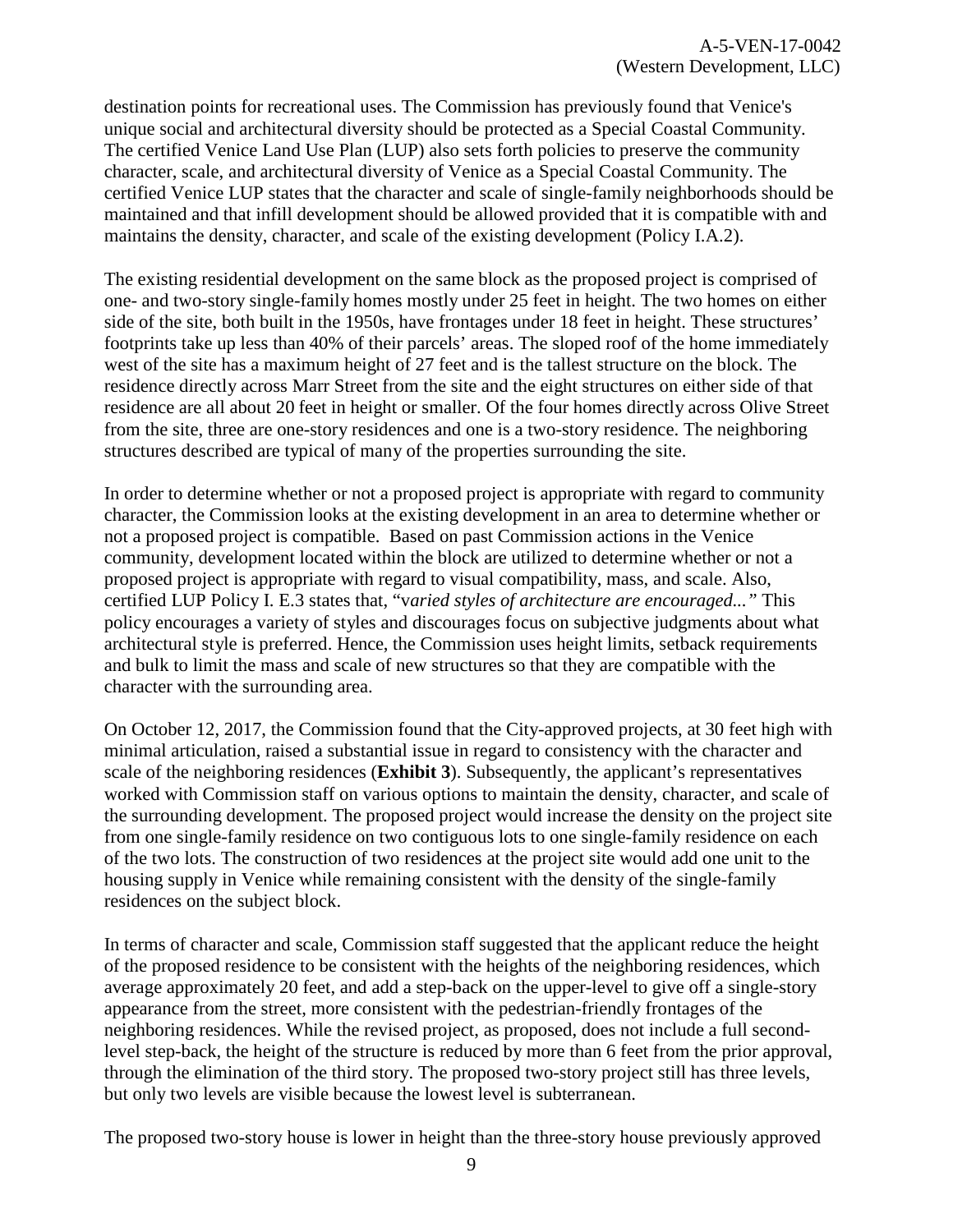destination points for recreational uses. The Commission has previously found that Venice's unique social and architectural diversity should be protected as a Special Coastal Community. The certified Venice Land Use Plan (LUP) also sets forth policies to preserve the community character, scale, and architectural diversity of Venice as a Special Coastal Community. The certified Venice LUP states that the character and scale of single-family neighborhoods should be maintained and that infill development should be allowed provided that it is compatible with and maintains the density, character, and scale of the existing development (Policy I.A.2).

The existing residential development on the same block as the proposed project is comprised of one- and two-story single-family homes mostly under 25 feet in height. The two homes on either side of the site, both built in the 1950s, have frontages under 18 feet in height. These structures' footprints take up less than 40% of their parcels' areas. The sloped roof of the home immediately west of the site has a maximum height of 27 feet and is the tallest structure on the block. The residence directly across Marr Street from the site and the eight structures on either side of that residence are all about 20 feet in height or smaller. Of the four homes directly across Olive Street from the site, three are one-story residences and one is a two-story residence. The neighboring structures described are typical of many of the properties surrounding the site.

In order to determine whether or not a proposed project is appropriate with regard to community character, the Commission looks at the existing development in an area to determine whether or not a proposed project is compatible. Based on past Commission actions in the Venice community, development located within the block are utilized to determine whether or not a proposed project is appropriate with regard to visual compatibility, mass, and scale. Also, certified LUP Policy I. E.3 states that, "v*aried styles of architecture are encouraged..."* This policy encourages a variety of styles and discourages focus on subjective judgments about what architectural style is preferred. Hence, the Commission uses height limits, setback requirements and bulk to limit the mass and scale of new structures so that they are compatible with the character with the surrounding area.

On October 12, 2017, the Commission found that the City-approved projects, at 30 feet high with minimal articulation, raised a substantial issue in regard to consistency with the character and scale of the neighboring residences (**[Exhibit 3](https://documents.coastal.ca.gov/reports/2018/6/th10e/th10e-6-2018-exhibits.pdf)**). Subsequently, the applicant's representatives worked with Commission staff on various options to maintain the density, character, and scale of the surrounding development. The proposed project would increase the density on the project site from one single-family residence on two contiguous lots to one single-family residence on each of the two lots. The construction of two residences at the project site would add one unit to the housing supply in Venice while remaining consistent with the density of the single-family residences on the subject block.

In terms of character and scale, Commission staff suggested that the applicant reduce the height of the proposed residence to be consistent with the heights of the neighboring residences, which average approximately 20 feet, and add a step-back on the upper-level to give off a single-story appearance from the street, more consistent with the pedestrian-friendly frontages of the neighboring residences. While the revised project, as proposed, does not include a full secondlevel step-back, the height of the structure is reduced by more than 6 feet from the prior approval, through the elimination of the third story. The proposed two-story project still has three levels, but only two levels are visible because the lowest level is subterranean.

The proposed two-story house is lower in height than the three-story house previously approved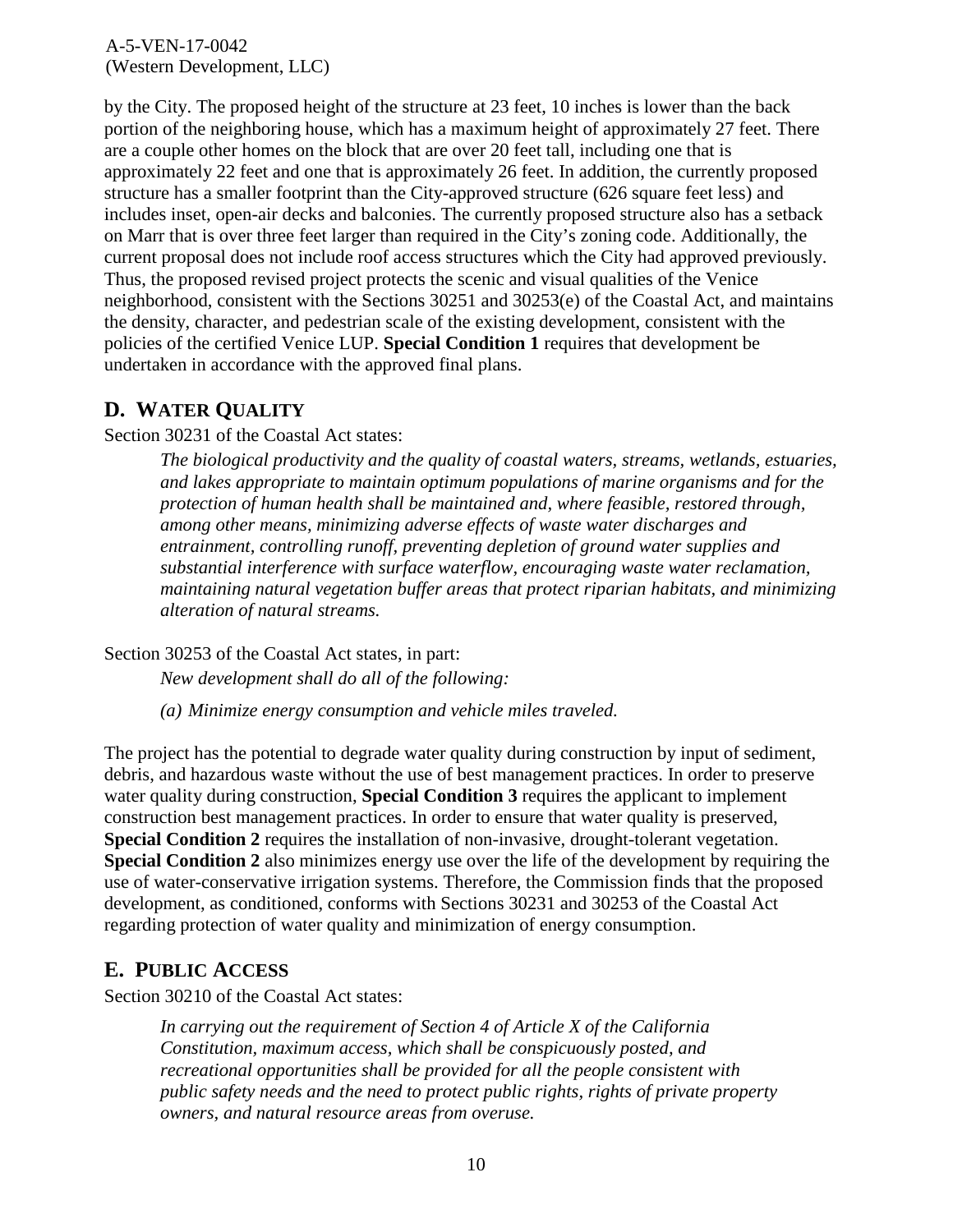by the City. The proposed height of the structure at 23 feet, 10 inches is lower than the back portion of the neighboring house, which has a maximum height of approximately 27 feet. There are a couple other homes on the block that are over 20 feet tall, including one that is approximately 22 feet and one that is approximately 26 feet. In addition, the currently proposed structure has a smaller footprint than the City-approved structure (626 square feet less) and includes inset, open-air decks and balconies. The currently proposed structure also has a setback on Marr that is over three feet larger than required in the City's zoning code. Additionally, the current proposal does not include roof access structures which the City had approved previously. Thus, the proposed revised project protects the scenic and visual qualities of the Venice neighborhood, consistent with the Sections 30251 and 30253(e) of the Coastal Act, and maintains the density, character, and pedestrian scale of the existing development, consistent with the policies of the certified Venice LUP. **Special Condition 1** requires that development be undertaken in accordance with the approved final plans.

#### <span id="page-9-0"></span>**D. WATER QUALITY**

Section 30231 of the Coastal Act states:

*The biological productivity and the quality of coastal waters, streams, wetlands, estuaries, and lakes appropriate to maintain optimum populations of marine organisms and for the protection of human health shall be maintained and, where feasible, restored through, among other means, minimizing adverse effects of waste water discharges and entrainment, controlling runoff, preventing depletion of ground water supplies and substantial interference with surface waterflow, encouraging waste water reclamation, maintaining natural vegetation buffer areas that protect riparian habitats, and minimizing alteration of natural streams.* 

Section 30253 of the Coastal Act states, in part:

*New development shall do all of the following:* 

*(a) Minimize energy consumption and vehicle miles traveled.* 

The project has the potential to degrade water quality during construction by input of sediment, debris, and hazardous waste without the use of best management practices. In order to preserve water quality during construction, **Special Condition 3** requires the applicant to implement construction best management practices. In order to ensure that water quality is preserved, **Special Condition 2** requires the installation of non-invasive, drought-tolerant vegetation. **Special Condition 2** also minimizes energy use over the life of the development by requiring the use of water-conservative irrigation systems. Therefore, the Commission finds that the proposed development, as conditioned, conforms with Sections 30231 and 30253 of the Coastal Act regarding protection of water quality and minimization of energy consumption.

#### <span id="page-9-1"></span>**E. PUBLIC ACCESS**

Section 30210 of the Coastal Act states:

 *In carrying out the requirement of Section 4 of Article X of the California Constitution, maximum access, which shall be conspicuously posted, and recreational opportunities shall be provided for all the people consistent with public safety needs and the need to protect public rights, rights of private property owners, and natural resource areas from overuse.*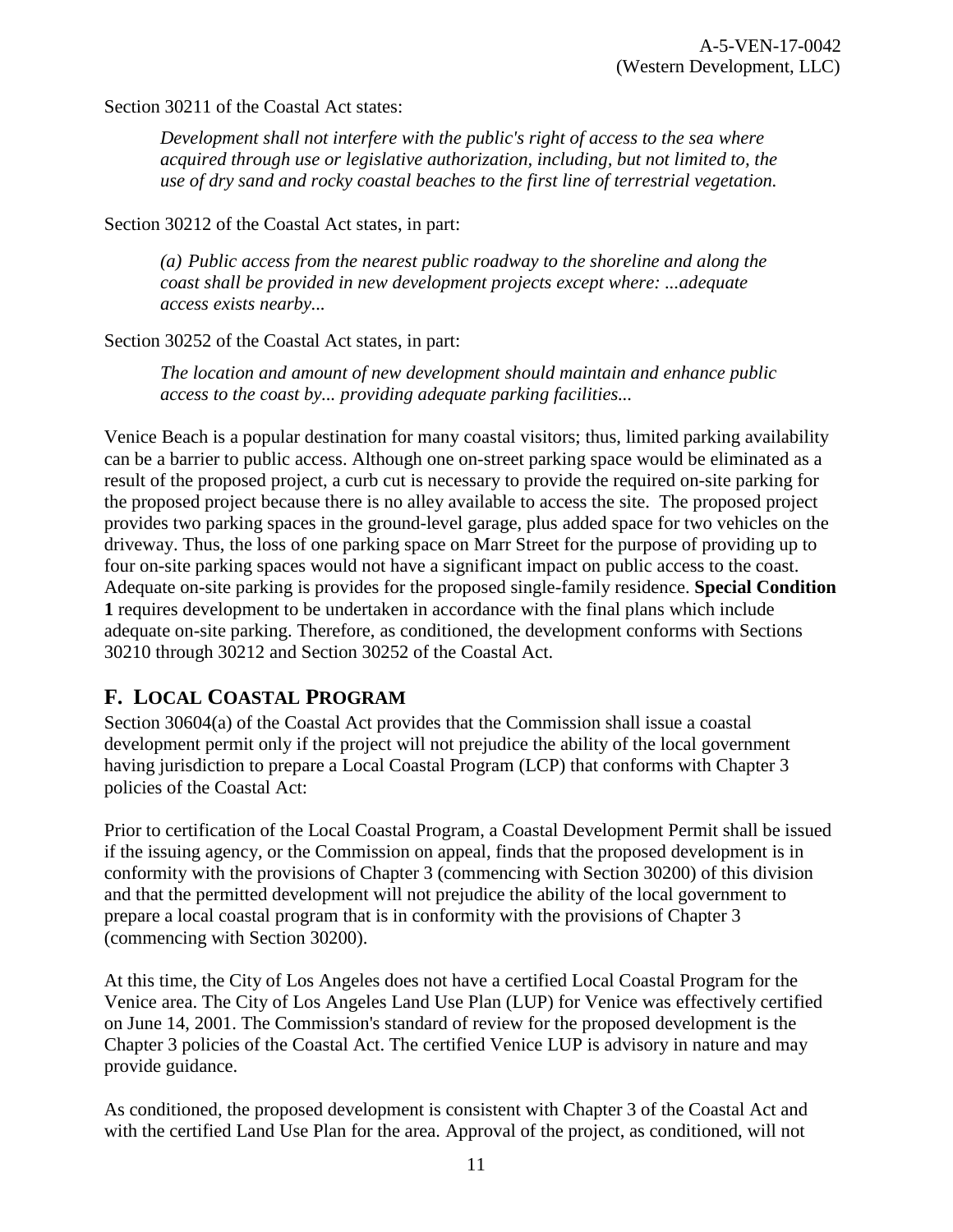Section 30211 of the Coastal Act states:

*Development shall not interfere with the public's right of access to the sea where acquired through use or legislative authorization, including, but not limited to, the use of dry sand and rocky coastal beaches to the first line of terrestrial vegetation.* 

Section 30212 of the Coastal Act states, in part:

*(a) Public access from the nearest public roadway to the shoreline and along the coast shall be provided in new development projects except where: ...adequate access exists nearby...*

Section 30252 of the Coastal Act states, in part:

*The location and amount of new development should maintain and enhance public access to the coast by... providing adequate parking facilities...* 

Venice Beach is a popular destination for many coastal visitors; thus, limited parking availability can be a barrier to public access. Although one on-street parking space would be eliminated as a result of the proposed project, a curb cut is necessary to provide the required on-site parking for the proposed project because there is no alley available to access the site. The proposed project provides two parking spaces in the ground-level garage, plus added space for two vehicles on the driveway. Thus, the loss of one parking space on Marr Street for the purpose of providing up to four on-site parking spaces would not have a significant impact on public access to the coast. Adequate on-site parking is provides for the proposed single-family residence. **Special Condition 1** requires development to be undertaken in accordance with the final plans which include adequate on-site parking. Therefore, as conditioned, the development conforms with Sections 30210 through 30212 and Section 30252 of the Coastal Act.

#### <span id="page-10-0"></span>**F. LOCAL COASTAL PROGRAM**

Section 30604(a) of the Coastal Act provides that the Commission shall issue a coastal development permit only if the project will not prejudice the ability of the local government having jurisdiction to prepare a Local Coastal Program (LCP) that conforms with Chapter 3 policies of the Coastal Act:

Prior to certification of the Local Coastal Program, a Coastal Development Permit shall be issued if the issuing agency, or the Commission on appeal, finds that the proposed development is in conformity with the provisions of Chapter 3 (commencing with Section 30200) of this division and that the permitted development will not prejudice the ability of the local government to prepare a local coastal program that is in conformity with the provisions of Chapter 3 (commencing with Section 30200).

At this time, the City of Los Angeles does not have a certified Local Coastal Program for the Venice area. The City of Los Angeles Land Use Plan (LUP) for Venice was effectively certified on June 14, 2001. The Commission's standard of review for the proposed development is the Chapter 3 policies of the Coastal Act. The certified Venice LUP is advisory in nature and may provide guidance.

As conditioned, the proposed development is consistent with Chapter 3 of the Coastal Act and with the certified Land Use Plan for the area. Approval of the project, as conditioned, will not